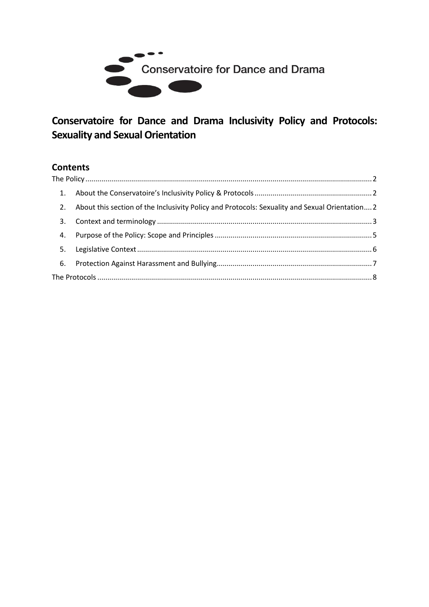

# **Conservatoire for Dance and Drama Inclusivity Policy and Protocols: Sexuality and Sexual Orientation**

## **Contents**

<span id="page-0-0"></span>

| 2. | About this section of the Inclusivity Policy and Protocols: Sexuality and Sexual Orientation 2 |  |  |  |  |  |
|----|------------------------------------------------------------------------------------------------|--|--|--|--|--|
| 3. |                                                                                                |  |  |  |  |  |
| 4. |                                                                                                |  |  |  |  |  |
| 5. |                                                                                                |  |  |  |  |  |
|    |                                                                                                |  |  |  |  |  |
|    |                                                                                                |  |  |  |  |  |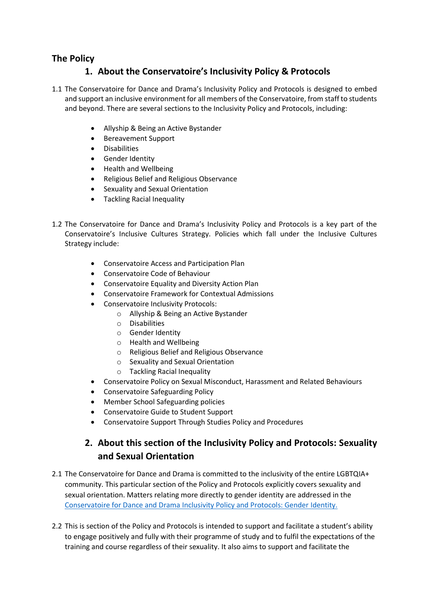#### <span id="page-1-0"></span>**The Policy**

## **1. About the Conservatoire's Inclusivity Policy & Protocols**

- 1.1 The Conservatoire for Dance and Drama's Inclusivity Policy and Protocols is designed to embed and support an inclusive environment for all members of the Conservatoire, from staff to students and beyond. There are several sections to the Inclusivity Policy and Protocols, including:
	- Allyship & Being an Active Bystander
	- Bereavement Support
	- Disabilities
	- Gender Identity
	- Health and Wellbeing
	- Religious Belief and Religious Observance
	- Sexuality and Sexual Orientation
	- Tackling Racial Inequality
- 1.2 The Conservatoire for Dance and Drama's Inclusivity Policy and Protocols is a key part of the Conservatoire's Inclusive Cultures Strategy. Policies which fall under the Inclusive Cultures Strategy include:
	- Conservatoire Access and Participation Plan
	- Conservatoire Code of Behaviour
	- Conservatoire Equality and Diversity Action Plan
	- Conservatoire Framework for Contextual Admissions
	- Conservatoire Inclusivity Protocols:
		- o Allyship & Being an Active Bystander
		- o Disabilities
		- o Gender Identity
		- o Health and Wellbeing
		- o Religious Belief and Religious Observance
		- o Sexuality and Sexual Orientation
		- o Tackling Racial Inequality
	- Conservatoire Policy on Sexual Misconduct, Harassment and Related Behaviours
	- Conservatoire Safeguarding Policy
	- Member School Safeguarding policies
	- Conservatoire Guide to Student Support
	- Conservatoire Support Through Studies Policy and Procedures

## **2. About this section of the Inclusivity Policy and Protocols: Sexuality and Sexual Orientation**

- <span id="page-1-1"></span>2.1 The Conservatoire for Dance and Drama is committed to the inclusivity of the entire LGBTQIA+ community. This particular section of the Policy and Protocols explicitly covers sexuality and sexual orientation. Matters relating more directly to gender identity are addressed in the [Conservatoire for Dance and Drama Inclusivity Policy and Protocols: Gender Identity.](http://www.cdd.ac.uk/policies/student-related-policies/)
- 2.2 This is section of the Policy and Protocols is intended to support and facilitate a student's ability to engage positively and fully with their programme of study and to fulfil the expectations of the training and course regardless of their sexuality. It also aims to support and facilitate the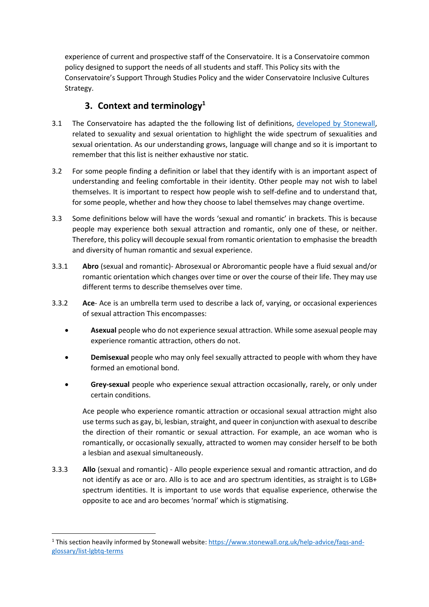experience of current and prospective staff of the Conservatoire. It is a Conservatoire common policy designed to support the needs of all students and staff. This Policy sits with the Conservatoire's Support Through Studies Policy and the wider Conservatoire Inclusive Cultures Strategy.

## **3. Context and terminology<sup>1</sup>**

- <span id="page-2-0"></span>3.1 The Conservatoire has adapted the the following list of definitions, [developed by Stonewall,](https://www.stonewall.org.uk/help-advice/faqs-and-glossary/list-lgbtq-terms) related to sexuality and sexual orientation to highlight the wide spectrum of sexualities and sexual orientation. As our understanding grows, language will change and so it is important to remember that this list is neither exhaustive nor static.
- 3.2 For some people finding a definition or label that they identify with is an important aspect of understanding and feeling comfortable in their identity. Other people may not wish to label themselves. It is important to respect how people wish to self-define and to understand that, for some people, whether and how they choose to label themselves may change overtime.
- 3.3 Some definitions below will have the words 'sexual and romantic' in brackets. This is because people may experience both sexual attraction and romantic, only one of these, or neither. Therefore, this policy will decouple sexual from romantic orientation to emphasise the breadth and diversity of human romantic and sexual experience.
- 3.3.1 **Abro** (sexual and romantic)- Abrosexual or Abroromantic people have a fluid sexual and/or romantic orientation which changes over time or over the course of their life. They may use different terms to describe themselves over time.
- 3.3.2 **Ace** Ace is an umbrella term used to describe a lack of, varying, or occasional experiences of sexual attraction This encompasses:
	- **Asexual** people who do not experience sexual attraction. While some asexual people may experience romantic attraction, others do not.
	- **Demisexual** people who may only feel sexually attracted to people with whom they have formed an emotional bond.
	- **Grey-sexual** people who experience sexual attraction occasionally, rarely, or only under certain conditions.

Ace people who experience romantic attraction or occasional sexual attraction might also use terms such as gay, bi, lesbian, straight, and queer in conjunction with asexual to describe the direction of their romantic or sexual attraction. For example, an ace woman who is romantically, or occasionally sexually, attracted to women may consider herself to be both a lesbian and asexual simultaneously.

3.3.3 **Allo** (sexual and romantic) - Allo people experience sexual and romantic attraction, and do not identify as ace or aro. Allo is to ace and aro spectrum identities, as straight is to LGB+ spectrum identities. It is important to use words that equalise experience, otherwise the opposite to ace and aro becomes 'normal' which is stigmatising.

<sup>1</sup> This section heavily informed by Stonewall website: [https://www.stonewall.org.uk/help-advice/faqs-and](https://www.stonewall.org.uk/help-advice/faqs-and-glossary/list-lgbtq-terms)[glossary/list-lgbtq-terms](https://www.stonewall.org.uk/help-advice/faqs-and-glossary/list-lgbtq-terms)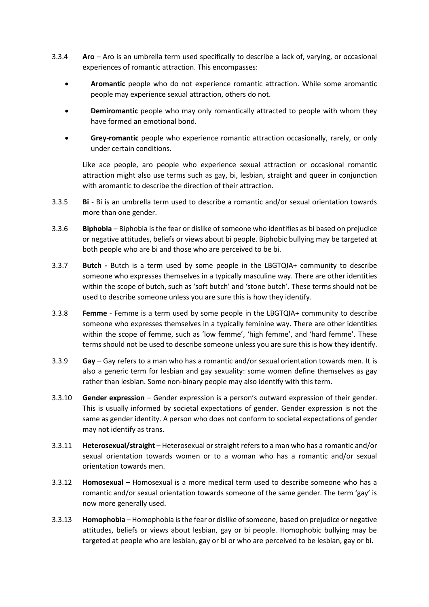- 3.3.4 **Aro** Aro is an umbrella term used specifically to describe a lack of, varying, or occasional experiences of romantic attraction. This encompasses:
	- **Aromantic** people who do not experience romantic attraction. While some aromantic people may experience sexual attraction, others do not.
	- **Demiromantic** people who may only romantically attracted to people with whom they have formed an emotional bond.
	- **Grey-romantic** people who experience romantic attraction occasionally, rarely, or only under certain conditions.

Like ace people, aro people who experience sexual attraction or occasional romantic attraction might also use terms such as gay, bi, lesbian, straight and queer in conjunction with aromantic to describe the direction of their attraction.

- 3.3.5 **Bi**  Bi is an umbrella term used to describe a romantic and/or sexual orientation towards more than one gender.
- 3.3.6 **Biphobia** Biphobia is the fear or dislike of someone who identifies as bi based on prejudice or negative attitudes, beliefs or views about bi people. Biphobic bullying may be targeted at both people who are bi and those who are perceived to be bi.
- 3.3.7 **Butch -** Butch is a term used by some people in the LBGTQIA+ community to describe someone who expresses themselves in a typically masculine way. There are other identities within the scope of butch, such as 'soft butch' and 'stone butch'. These terms should not be used to describe someone unless you are sure this is how they identify.
- 3.3.8 **Femme**  Femme is a term used by some people in the LBGTQIA+ community to describe someone who expresses themselves in a typically feminine way. There are other identities within the scope of femme, such as 'low femme', 'high femme', and 'hard femme'. These terms should not be used to describe someone unless you are sure this is how they identify.
- 3.3.9 **Gay** Gay refers to a man who has a romantic and/or sexual orientation towards men. It is also a generic term for lesbian and gay sexuality: some women define themselves as gay rather than lesbian. Some non-binary people may also identify with this term.
- 3.3.10 **Gender expression** Gender expression is a person's outward expression of their gender. This is usually informed by societal expectations of gender. Gender expression is not the same as gender identity. A person who does not conform to societal expectations of gender may not identify as trans.
- 3.3.11 **Heterosexual/straight** Heterosexual or straight refers to a man who has a romantic and/or sexual orientation towards women or to a woman who has a romantic and/or sexual orientation towards men.
- 3.3.12 **Homosexual** Homosexual is a more medical term used to describe someone who has a romantic and/or sexual orientation towards someone of the same gender. The term 'gay' is now more generally used.
- 3.3.13 **Homophobia** Homophobia is the fear or dislike of someone, based on prejudice or negative attitudes, beliefs or views about lesbian, gay or bi people. Homophobic bullying may be targeted at people who are lesbian, gay or bi or who are perceived to be lesbian, gay or bi.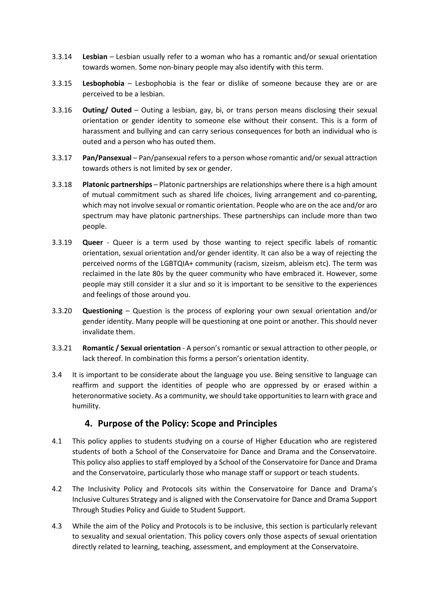- 3.3.14 **Lesbian** Lesbian usually refer to a woman who has a romantic and/or sexual orientation towards women. Some non-binary people may also identify with this term.
- 3.3.15 **Lesbophobia** Lesbophobia is the fear or dislike of someone because they are or are perceived to be a lesbian.
- 3.3.16 **Outing/ Outed** Outing a lesbian, gay, bi, or trans person means disclosing their sexual orientation or gender identity to someone else without their consent. This is a form of harassment and bullying and can carry serious consequences for both an individual who is outed and a person who has outed them.
- 3.3.17 **Pan/Pansexual**  Pan/pansexual refers to a person whose romantic and/or sexual attraction towards others is not limited by sex or gender.
- 3.3.18 **Platonic partnerships** Platonic partnerships are relationships where there is a high amount of mutual commitment such as shared life choices, living arrangement and co-parenting, which may not involve sexual or romantic orientation. People who are on the ace and/or aro spectrum may have platonic partnerships. These partnerships can include more than two people.
- 3.3.19 **Queer** Queer is a term used by those wanting to reject specific labels of romantic orientation, sexual orientation and/or gender identity. It can also be a way of rejecting the perceived norms of the LGBTQIA+ community (racism, sizeism, ableism etc). The term was reclaimed in the late 80s by the queer community who have embraced it. However, some people may still consider it a slur and so it is important to be sensitive to the experiences and feelings of those around you.
- 3.3.20 **Questioning**  Question is the process of exploring your own sexual orientation and/or gender identity. Many people will be questioning at one point or another. This should never invalidate them.
- 3.3.21 **Romantic / Sexual orientation** A person's romantic or sexual attraction to other people, or lack thereof. In combination this forms a person's orientation identity.
- 3.4 It is important to be considerate about the language you use. Being sensitive to language can reaffirm and support the identities of people who are oppressed by or erased within a heteronormative society. As a community, we should take opportunities to learn with grace and humility.

#### **4. Purpose of the Policy: Scope and Principles**

- <span id="page-4-0"></span>4.1 This policy applies to students studying on a course of Higher Education who are registered students of both a School of the Conservatoire for Dance and Drama and the Conservatoire. This policy also applies to staff employed by a School of the Conservatoire for Dance and Drama and the Conservatoire, particularly those who manage staff or support or teach students.
- 4.2 The Inclusivity Policy and Protocols sits within the Conservatoire for Dance and Drama's Inclusive Cultures Strategy and is aligned with the Conservatoire for Dance and Drama Support Through Studies Policy and Guide to Student Support.
- 4.3 While the aim of the Policy and Protocols is to be inclusive, this section is particularly relevant to sexuality and sexual orientation. This policy covers only those aspects of sexual orientation directly related to learning, teaching, assessment, and employment at the Conservatoire.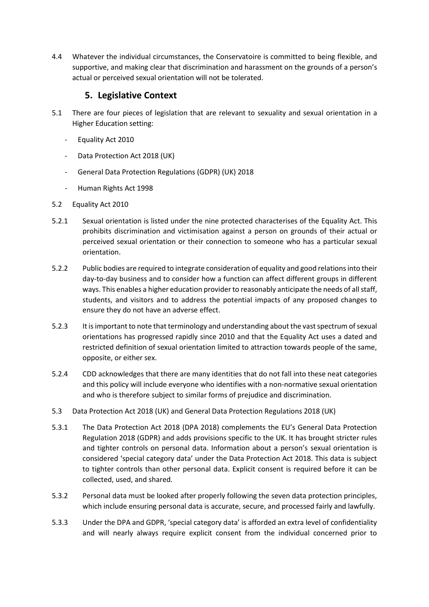4.4 Whatever the individual circumstances, the Conservatoire is committed to being flexible, and supportive, and making clear that discrimination and harassment on the grounds of a person's actual or perceived sexual orientation will not be tolerated.

#### **5. Legislative Context**

- <span id="page-5-0"></span>5.1 There are four pieces of legislation that are relevant to sexuality and sexual orientation in a Higher Education setting:
	- Equality Act 2010
	- Data Protection Act 2018 (UK)
	- General Data Protection Regulations (GDPR) (UK) 2018
	- Human Rights Act 1998
- 5.2 Equality Act 2010
- 5.2.1 Sexual orientation is listed under the nine protected characterises of the Equality Act. This prohibits discrimination and victimisation against a person on grounds of their actual or perceived sexual orientation or their connection to someone who has a particular sexual orientation.
- 5.2.2 Public bodies are required to integrate consideration of equality and good relations into their day-to-day business and to consider how a function can affect different groups in different ways. This enables a higher education provider to reasonably anticipate the needs of all staff, students, and visitors and to address the potential impacts of any proposed changes to ensure they do not have an adverse effect.
- 5.2.3 It is important to note that terminology and understanding about the vast spectrum of sexual orientations has progressed rapidly since 2010 and that the Equality Act uses a dated and restricted definition of sexual orientation limited to attraction towards people of the same, opposite, or either sex.
- 5.2.4 CDD acknowledges that there are many identities that do not fall into these neat categories and this policy will include everyone who identifies with a non-normative sexual orientation and who is therefore subject to similar forms of prejudice and discrimination.
- 5.3 Data Protection Act 2018 (UK) and General Data Protection Regulations 2018 (UK)
- 5.3.1 The Data Protection Act 2018 (DPA 2018) complements the EU's General Data Protection Regulation 2018 (GDPR) and adds provisions specific to the UK. It has brought stricter rules and tighter controls on personal data. Information about a person's sexual orientation is considered 'special category data' under the Data Protection Act 2018. This data is subject to tighter controls than other personal data. Explicit consent is required before it can be collected, used, and shared.
- 5.3.2 Personal data must be looked after properly following the seven data protection principles, which include ensuring personal data is accurate, secure, and processed fairly and lawfully.
- 5.3.3 Under the DPA and GDPR, 'special category data' is afforded an extra level of confidentiality and will nearly always require explicit consent from the individual concerned prior to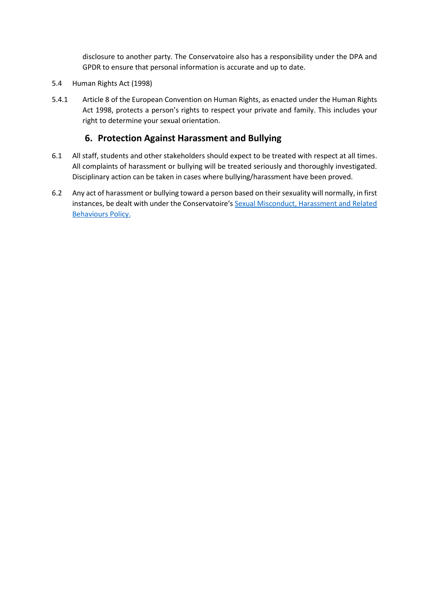disclosure to another party. The Conservatoire also has a responsibility under the DPA and GPDR to ensure that personal information is accurate and up to date.

- 5.4 Human Rights Act (1998)
- 5.4.1 Article 8 of the European Convention on Human Rights, as enacted under the Human Rights Act 1998, protects a person's rights to respect your private and family. This includes your right to determine your sexual orientation.

#### **6. Protection Against Harassment and Bullying**

- <span id="page-6-0"></span>6.1 All staff, students and other stakeholders should expect to be treated with respect at all times. All complaints of harassment or bullying will be treated seriously and thoroughly investigated. Disciplinary action can be taken in cases where bullying/harassment have been proved.
- 6.2 Any act of harassment or bullying toward a person based on their sexuality will normally, in first instances, be dealt with under the Conservatoire's [Sexual Misconduct, Harassment and Related](http://www.cdd.ac.uk/policies/student-related-policies/)  [Behaviours Policy.](http://www.cdd.ac.uk/policies/student-related-policies/)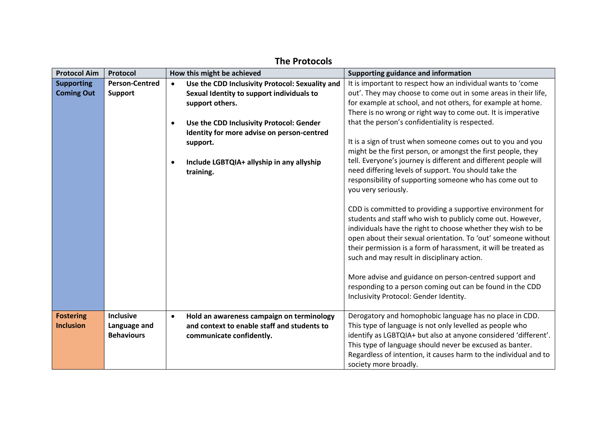<span id="page-7-0"></span>

| <b>Protocol Aim</b> | Protocol              |           | How this might be achieved                      | Supporting guidance and information                                                                                         |
|---------------------|-----------------------|-----------|-------------------------------------------------|-----------------------------------------------------------------------------------------------------------------------------|
| <b>Supporting</b>   | <b>Person-Centred</b> | $\bullet$ | Use the CDD Inclusivity Protocol: Sexuality and | It is important to respect how an individual wants to 'come                                                                 |
| <b>Coming Out</b>   | <b>Support</b>        |           | Sexual Identity to support individuals to       | out'. They may choose to come out in some areas in their life,                                                              |
|                     |                       |           | support others.                                 | for example at school, and not others, for example at home.                                                                 |
|                     |                       |           |                                                 | There is no wrong or right way to come out. It is imperative                                                                |
|                     |                       | $\bullet$ | Use the CDD Inclusivity Protocol: Gender        | that the person's confidentiality is respected.                                                                             |
|                     |                       |           | Identity for more advise on person-centred      |                                                                                                                             |
|                     |                       |           | support.                                        | It is a sign of trust when someone comes out to you and you<br>might be the first person, or amongst the first people, they |
|                     |                       |           | Include LGBTQIA+ allyship in any allyship       | tell. Everyone's journey is different and different people will                                                             |
|                     |                       |           | training.                                       | need differing levels of support. You should take the                                                                       |
|                     |                       |           |                                                 | responsibility of supporting someone who has come out to                                                                    |
|                     |                       |           |                                                 | you very seriously.                                                                                                         |
|                     |                       |           |                                                 |                                                                                                                             |
|                     |                       |           |                                                 | CDD is committed to providing a supportive environment for                                                                  |
|                     |                       |           |                                                 | students and staff who wish to publicly come out. However,                                                                  |
|                     |                       |           |                                                 | individuals have the right to choose whether they wish to be                                                                |
|                     |                       |           |                                                 | open about their sexual orientation. To 'out' someone without                                                               |
|                     |                       |           |                                                 | their permission is a form of harassment, it will be treated as                                                             |
|                     |                       |           |                                                 | such and may result in disciplinary action.                                                                                 |
|                     |                       |           |                                                 | More advise and guidance on person-centred support and                                                                      |
|                     |                       |           |                                                 | responding to a person coming out can be found in the CDD                                                                   |
|                     |                       |           |                                                 | Inclusivity Protocol: Gender Identity.                                                                                      |
|                     |                       |           |                                                 |                                                                                                                             |
| <b>Fostering</b>    | <b>Inclusive</b>      | $\bullet$ | Hold an awareness campaign on terminology       | Derogatory and homophobic language has no place in CDD.                                                                     |
| <b>Inclusion</b>    | Language and          |           | and context to enable staff and students to     | This type of language is not only levelled as people who                                                                    |
|                     | <b>Behaviours</b>     |           | communicate confidently.                        | identify as LGBTQIA+ but also at anyone considered 'different'.                                                             |
|                     |                       |           |                                                 | This type of language should never be excused as banter.                                                                    |
|                     |                       |           |                                                 | Regardless of intention, it causes harm to the individual and to                                                            |
|                     |                       |           |                                                 | society more broadly.                                                                                                       |

## **The Protocols**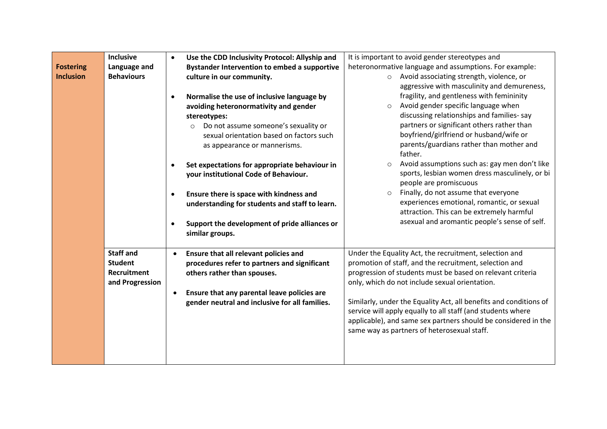|                  | <b>Inclusive</b>  |                        | Use the CDD Inclusivity Protocol: Allyship and                                                                                                                | It is important to avoid gender stereotypes and                                                                                                                                                                                                                                                                                                                                                                                                                            |
|------------------|-------------------|------------------------|---------------------------------------------------------------------------------------------------------------------------------------------------------------|----------------------------------------------------------------------------------------------------------------------------------------------------------------------------------------------------------------------------------------------------------------------------------------------------------------------------------------------------------------------------------------------------------------------------------------------------------------------------|
| <b>Fostering</b> | Language and      |                        | <b>Bystander Intervention to embed a supportive</b>                                                                                                           | heteronormative language and assumptions. For example:                                                                                                                                                                                                                                                                                                                                                                                                                     |
| <b>Inclusion</b> | <b>Behaviours</b> |                        | culture in our community.                                                                                                                                     | Avoid associating strength, violence, or<br>$\circ$<br>aggressive with masculinity and demureness,                                                                                                                                                                                                                                                                                                                                                                         |
|                  |                   |                        | Normalise the use of inclusive language by                                                                                                                    | fragility, and gentleness with femininity                                                                                                                                                                                                                                                                                                                                                                                                                                  |
|                  |                   |                        | avoiding heteronormativity and gender                                                                                                                         | Avoid gender specific language when                                                                                                                                                                                                                                                                                                                                                                                                                                        |
|                  |                   |                        | stereotypes:                                                                                                                                                  | discussing relationships and families-say                                                                                                                                                                                                                                                                                                                                                                                                                                  |
|                  |                   |                        | Do not assume someone's sexuality or<br>$\circ$                                                                                                               | partners or significant others rather than                                                                                                                                                                                                                                                                                                                                                                                                                                 |
|                  |                   |                        | sexual orientation based on factors such                                                                                                                      | boyfriend/girlfriend or husband/wife or                                                                                                                                                                                                                                                                                                                                                                                                                                    |
|                  |                   |                        | as appearance or mannerisms.                                                                                                                                  | parents/guardians rather than mother and                                                                                                                                                                                                                                                                                                                                                                                                                                   |
|                  |                   |                        |                                                                                                                                                               | father.                                                                                                                                                                                                                                                                                                                                                                                                                                                                    |
|                  |                   |                        | Set expectations for appropriate behaviour in                                                                                                                 | Avoid assumptions such as: gay men don't like<br>$\circ$                                                                                                                                                                                                                                                                                                                                                                                                                   |
|                  |                   |                        | your institutional Code of Behaviour.                                                                                                                         | sports, lesbian women dress masculinely, or bi                                                                                                                                                                                                                                                                                                                                                                                                                             |
|                  |                   |                        |                                                                                                                                                               |                                                                                                                                                                                                                                                                                                                                                                                                                                                                            |
|                  |                   |                        |                                                                                                                                                               |                                                                                                                                                                                                                                                                                                                                                                                                                                                                            |
|                  |                   |                        |                                                                                                                                                               |                                                                                                                                                                                                                                                                                                                                                                                                                                                                            |
|                  |                   |                        |                                                                                                                                                               |                                                                                                                                                                                                                                                                                                                                                                                                                                                                            |
|                  |                   |                        |                                                                                                                                                               |                                                                                                                                                                                                                                                                                                                                                                                                                                                                            |
|                  |                   |                        |                                                                                                                                                               |                                                                                                                                                                                                                                                                                                                                                                                                                                                                            |
|                  | <b>Staff and</b>  | $\bullet$              | Ensure that all relevant policies and                                                                                                                         | Under the Equality Act, the recruitment, selection and                                                                                                                                                                                                                                                                                                                                                                                                                     |
|                  | <b>Student</b>    |                        | procedures refer to partners and significant                                                                                                                  | promotion of staff, and the recruitment, selection and                                                                                                                                                                                                                                                                                                                                                                                                                     |
|                  | Recruitment       |                        | others rather than spouses.                                                                                                                                   | progression of students must be based on relevant criteria                                                                                                                                                                                                                                                                                                                                                                                                                 |
|                  | and Progression   |                        |                                                                                                                                                               | only, which do not include sexual orientation.                                                                                                                                                                                                                                                                                                                                                                                                                             |
|                  |                   |                        | Ensure that any parental leave policies are                                                                                                                   |                                                                                                                                                                                                                                                                                                                                                                                                                                                                            |
|                  |                   |                        | gender neutral and inclusive for all families.                                                                                                                |                                                                                                                                                                                                                                                                                                                                                                                                                                                                            |
|                  |                   |                        |                                                                                                                                                               |                                                                                                                                                                                                                                                                                                                                                                                                                                                                            |
|                  |                   |                        |                                                                                                                                                               |                                                                                                                                                                                                                                                                                                                                                                                                                                                                            |
|                  |                   |                        |                                                                                                                                                               |                                                                                                                                                                                                                                                                                                                                                                                                                                                                            |
|                  |                   |                        |                                                                                                                                                               |                                                                                                                                                                                                                                                                                                                                                                                                                                                                            |
|                  |                   |                        |                                                                                                                                                               |                                                                                                                                                                                                                                                                                                                                                                                                                                                                            |
|                  |                   | $\bullet$<br>$\bullet$ | Ensure there is space with kindness and<br>understanding for students and staff to learn.<br>Support the development of pride alliances or<br>similar groups. | people are promiscuous<br>Finally, do not assume that everyone<br>$\circ$<br>experiences emotional, romantic, or sexual<br>attraction. This can be extremely harmful<br>asexual and aromantic people's sense of self.<br>Similarly, under the Equality Act, all benefits and conditions of<br>service will apply equally to all staff (and students where<br>applicable), and same sex partners should be considered in the<br>same way as partners of heterosexual staff. |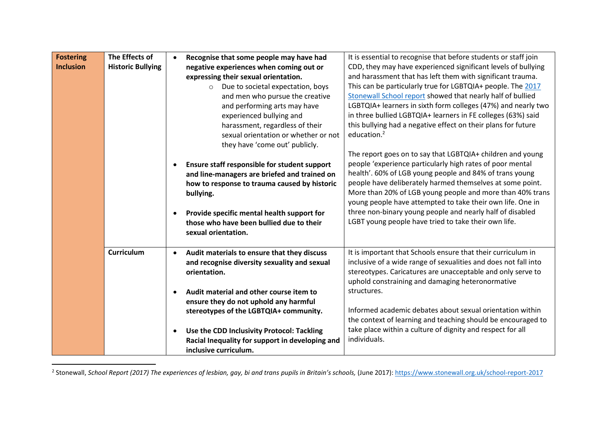| <b>Fostering</b> | The Effects of           |           | Recognise that some people may have had                                                                                                                                                                                                             | It is essential to recognise that before students or staff join                                                                                                                                                                                                                                                                                                                                                                                                                                 |
|------------------|--------------------------|-----------|-----------------------------------------------------------------------------------------------------------------------------------------------------------------------------------------------------------------------------------------------------|-------------------------------------------------------------------------------------------------------------------------------------------------------------------------------------------------------------------------------------------------------------------------------------------------------------------------------------------------------------------------------------------------------------------------------------------------------------------------------------------------|
| <b>Inclusion</b> | <b>Historic Bullying</b> |           | negative experiences when coming out or                                                                                                                                                                                                             | CDD, they may have experienced significant levels of bullying                                                                                                                                                                                                                                                                                                                                                                                                                                   |
|                  |                          |           | expressing their sexual orientation.                                                                                                                                                                                                                | and harassment that has left them with significant trauma.                                                                                                                                                                                                                                                                                                                                                                                                                                      |
|                  |                          |           | o Due to societal expectation, boys                                                                                                                                                                                                                 | This can be particularly true for LGBTQIA+ people. The 2017                                                                                                                                                                                                                                                                                                                                                                                                                                     |
|                  |                          |           | and men who pursue the creative                                                                                                                                                                                                                     | Stonewall School report showed that nearly half of bullied                                                                                                                                                                                                                                                                                                                                                                                                                                      |
|                  |                          |           | and performing arts may have                                                                                                                                                                                                                        | LGBTQIA+ learners in sixth form colleges (47%) and nearly two                                                                                                                                                                                                                                                                                                                                                                                                                                   |
|                  |                          |           | experienced bullying and                                                                                                                                                                                                                            | in three bullied LGBTQIA+ learners in FE colleges (63%) said                                                                                                                                                                                                                                                                                                                                                                                                                                    |
|                  |                          |           | harassment, regardless of their                                                                                                                                                                                                                     | this bullying had a negative effect on their plans for future                                                                                                                                                                                                                                                                                                                                                                                                                                   |
|                  |                          |           | sexual orientation or whether or not                                                                                                                                                                                                                | education. <sup>2</sup>                                                                                                                                                                                                                                                                                                                                                                                                                                                                         |
|                  |                          |           | they have 'come out' publicly.                                                                                                                                                                                                                      |                                                                                                                                                                                                                                                                                                                                                                                                                                                                                                 |
|                  |                          |           | Ensure staff responsible for student support<br>and line-managers are briefed and trained on<br>how to response to trauma caused by historic<br>bullying.<br>Provide specific mental health support for<br>those who have been bullied due to their | The report goes on to say that LGBTQIA+ children and young<br>people 'experience particularly high rates of poor mental<br>health'. 60% of LGB young people and 84% of trans young<br>people have deliberately harmed themselves at some point.<br>More than 20% of LGB young people and more than 40% trans<br>young people have attempted to take their own life. One in<br>three non-binary young people and nearly half of disabled<br>LGBT young people have tried to take their own life. |
|                  |                          |           | sexual orientation.                                                                                                                                                                                                                                 |                                                                                                                                                                                                                                                                                                                                                                                                                                                                                                 |
|                  | Curriculum               | $\bullet$ | Audit materials to ensure that they discuss                                                                                                                                                                                                         | It is important that Schools ensure that their curriculum in                                                                                                                                                                                                                                                                                                                                                                                                                                    |
|                  |                          |           | and recognise diversity sexuality and sexual<br>orientation.                                                                                                                                                                                        | inclusive of a wide range of sexualities and does not fall into<br>stereotypes. Caricatures are unacceptable and only serve to<br>uphold constraining and damaging heteronormative                                                                                                                                                                                                                                                                                                              |
|                  |                          |           | Audit material and other course item to                                                                                                                                                                                                             | structures.                                                                                                                                                                                                                                                                                                                                                                                                                                                                                     |
|                  |                          |           | ensure they do not uphold any harmful                                                                                                                                                                                                               |                                                                                                                                                                                                                                                                                                                                                                                                                                                                                                 |
|                  |                          |           | stereotypes of the LGBTQIA+ community.                                                                                                                                                                                                              | Informed academic debates about sexual orientation within                                                                                                                                                                                                                                                                                                                                                                                                                                       |
|                  |                          |           |                                                                                                                                                                                                                                                     | the context of learning and teaching should be encouraged to                                                                                                                                                                                                                                                                                                                                                                                                                                    |
|                  |                          |           | Use the CDD Inclusivity Protocol: Tackling                                                                                                                                                                                                          | take place within a culture of dignity and respect for all                                                                                                                                                                                                                                                                                                                                                                                                                                      |
|                  |                          |           | Racial Inequality for support in developing and                                                                                                                                                                                                     | individuals.                                                                                                                                                                                                                                                                                                                                                                                                                                                                                    |
|                  |                          |           | inclusive curriculum.                                                                                                                                                                                                                               |                                                                                                                                                                                                                                                                                                                                                                                                                                                                                                 |

<sup>2</sup> Stonewall, *School Report (2017) The experiences of lesbian, gay, bi and trans pupils in Britain's schools, (June 2017): <u><https://www.stonewall.org.uk/school-report-2017></u>*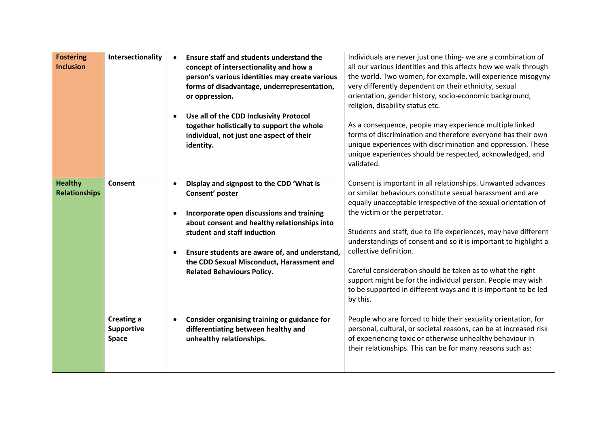| <b>Fostering</b><br><b>Inclusion</b>   | Intersectionality                        | $\bullet$ | <b>Ensure staff and students understand the</b><br>concept of intersectionality and how a<br>person's various identities may create various<br>forms of disadvantage, underrepresentation,<br>or oppression.<br>Use all of the CDD Inclusivity Protocol<br>together holistically to support the whole<br>individual, not just one aspect of their<br>identity. | Individuals are never just one thing- we are a combination of<br>all our various identities and this affects how we walk through<br>the world. Two women, for example, will experience misogyny<br>very differently dependent on their ethnicity, sexual<br>orientation, gender history, socio-economic background,<br>religion, disability status etc.<br>As a consequence, people may experience multiple linked<br>forms of discrimination and therefore everyone has their own<br>unique experiences with discrimination and oppression. These<br>unique experiences should be respected, acknowledged, and<br>validated. |
|----------------------------------------|------------------------------------------|-----------|----------------------------------------------------------------------------------------------------------------------------------------------------------------------------------------------------------------------------------------------------------------------------------------------------------------------------------------------------------------|-------------------------------------------------------------------------------------------------------------------------------------------------------------------------------------------------------------------------------------------------------------------------------------------------------------------------------------------------------------------------------------------------------------------------------------------------------------------------------------------------------------------------------------------------------------------------------------------------------------------------------|
| <b>Healthy</b><br><b>Relationships</b> | Consent                                  | $\bullet$ | Display and signpost to the CDD 'What is<br>Consent' poster<br>Incorporate open discussions and training<br>about consent and healthy relationships into<br>student and staff induction<br>Ensure students are aware of, and understand,<br>the CDD Sexual Misconduct, Harassment and<br><b>Related Behaviours Policy.</b>                                     | Consent is important in all relationships. Unwanted advances<br>or similar behaviours constitute sexual harassment and are<br>equally unacceptable irrespective of the sexual orientation of<br>the victim or the perpetrator.<br>Students and staff, due to life experiences, may have different<br>understandings of consent and so it is important to highlight a<br>collective definition.<br>Careful consideration should be taken as to what the right<br>support might be for the individual person. People may wish<br>to be supported in different ways and it is important to be led<br>by this.                    |
|                                        | <b>Creating a</b><br>Supportive<br>Space | $\bullet$ | Consider organising training or guidance for<br>differentiating between healthy and<br>unhealthy relationships.                                                                                                                                                                                                                                                | People who are forced to hide their sexuality orientation, for<br>personal, cultural, or societal reasons, can be at increased risk<br>of experiencing toxic or otherwise unhealthy behaviour in<br>their relationships. This can be for many reasons such as:                                                                                                                                                                                                                                                                                                                                                                |